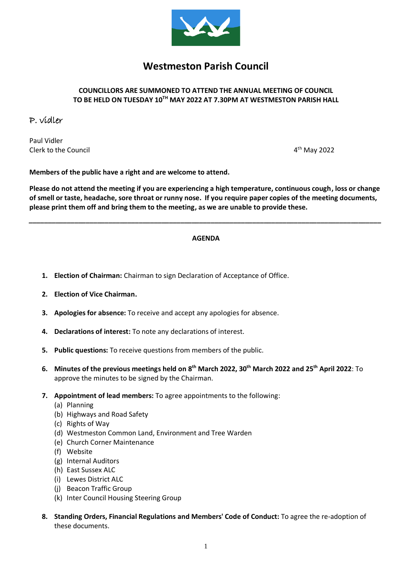

# **Westmeston Parish Council**

# **COUNCILLORS ARE SUMMONED TO ATTEND THE ANNUAL MEETING OF COUNCIL**  $\mathbf{TO}$  BE HELD ON TUESDAY 10<sup>TH</sup> MAY 2022 AT 7.30PM AT WESTMESTON PARISH HALL

# P. vidler

Paul Vidler Clerk to the Council 4

4<sup>th</sup> May 2022

**Members of the public have a right and are welcome to attend.**

**Please do not attend the meeting if you are experiencing a high temperature, continuous cough, loss or change of smell or taste, headache, sore throat or runny nose. If you require paper copies of the meeting documents, please print them off and bring them to the meeting, as we are unable to provide these.**

### **AGENDA**

*\_\_\_\_\_\_\_\_\_\_\_\_\_\_\_\_\_\_\_\_\_\_\_\_\_\_\_\_\_\_\_\_\_\_\_\_\_\_\_\_\_\_\_\_\_\_\_\_\_\_\_\_\_\_\_\_\_\_\_\_\_\_\_\_\_\_\_\_\_\_\_\_\_\_\_\_\_\_\_\_\_\_\_\_\_\_\_\_\_\_\_\_\_*

- **1. Election of Chairman:** Chairman to sign Declaration of Acceptance of Office.
- **2. Election of Vice Chairman.**
- **3. Apologies for absence:** To receive and accept any apologies for absence.
- **4. Declarations of interest:** To note any declarations of interest.
- **5. Public questions:** To receive questions from members of the public.
- **6. Minutes of the previous meetings held on 8 th March 2022, 30th March 2022 and 25 th April 2022**: To approve the minutes to be signed by the Chairman.
- **7. Appointment of lead members:** To agree appointments to the following:
	- (a) Planning
	- (b) Highways and Road Safety
	- (c) Rights of Way
	- (d) Westmeston Common Land, Environment and Tree Warden
	- (e) Church Corner Maintenance
	- (f) Website
	- (g) Internal Auditors
	- (h) East Sussex ALC
	- (i) Lewes District ALC
	- (j) Beacon Traffic Group
	- (k) Inter Council Housing Steering Group
- **8. Standing Orders, Financial Regulations and Members' Code of Conduct:** To agree the re-adoption of these documents.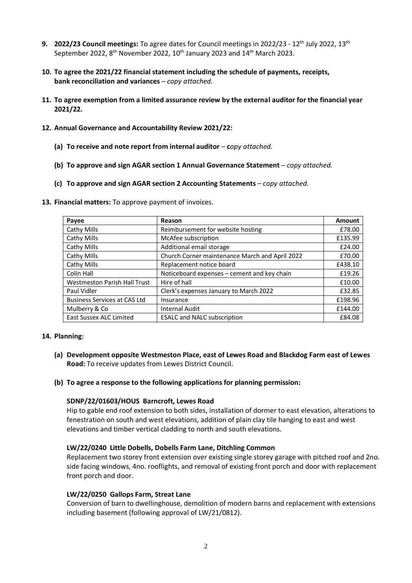- **9. 2022/23 Council meetings:** To agree dates for Council meetings in 2022/23 12th July 2022, 13th September 2022,  $8<sup>th</sup>$  November 2022,  $10<sup>th</sup>$  January 2023 and  $14<sup>th</sup>$  March 2023.
- **10. To agree the 2021/22 financial statement including the schedule of payments, receipts, bank reconciliation and variances** *– copy attached.*
- **11. To agree exemption from a limited assurance review by the external auditor for the financial year 2021/22.**
- **12. Annual Governance and Accountability Review 2021/22:**
	- **(a) To receive and note report from internal auditor c***opy attached.*
	- **(b) To approve and sign AGAR section 1 Annual Governance Statement** *copy attached.*
	- **(c) To approve and sign AGAR section 2 Accounting Statements** *copy attached.*
- **13. Financial matters:** To approve payment of invoices.

| Payee                               | Reason                                         | Amount  |
|-------------------------------------|------------------------------------------------|---------|
| Cathy Mills                         | Reimbursement for website hosting              | £78.00  |
| Cathy Mills                         | McAfee subscription                            | £135.99 |
| Cathy Mills                         | Additional email storage                       | £24.00  |
| Cathy Mills                         | Church Corner maintenance March and April 2022 | £70.00  |
| Cathy Mills                         | Replacement notice board                       | £438.10 |
| Colin Hall                          | Noticeboard expenses - cement and key chain    | £19.26  |
| <b>Westmeston Parish Hall Trust</b> | Hire of hall                                   | £10.00  |
| Paul Vidler                         | Clerk's expenses January to March 2022         | £32.85  |
| <b>Business Services at CAS Ltd</b> | Insurance                                      | £198.96 |
| Mulberry & Co                       | <b>Internal Audit</b>                          | £144.00 |
| <b>East Sussex ALC Limited</b>      | <b>ESALC and NALC subscription</b>             | £84.08  |

#### **14. Planning:**

- **(a) Development opposite Westmeston Place, east of Lewes Road and Blackdog Farm east of Lewes Road:** To receive updates from Lewes District Council.
- **(b) To agree a response to the following applications for planning permission:**

#### **SDNP/22/01603/HOUS Barncroft, Lewes Road**

Hip to gable end roof extension to both sides, installation of dormer to east elevation, alterations to fenestration on south and west elevations, addition of plain clay tile hanging to east and west elevations and timber vertical cladding to north and south elevations.

#### **LW/22/0240 Little Dobells, Dobells Farm Lane, Ditchling Common**

Replacement two storey front extension over existing single storey garage with pitched roof and 2no. side facing windows, 4no. rooflights, and removal of existing front porch and door with replacement front porch and door.

#### **LW/22/0250 Gallops Farm, Streat Lane**

Conversion of barn to dwellinghouse, demolition of modern barns and replacement with extensions including basement (following approval of LW/21/0812).